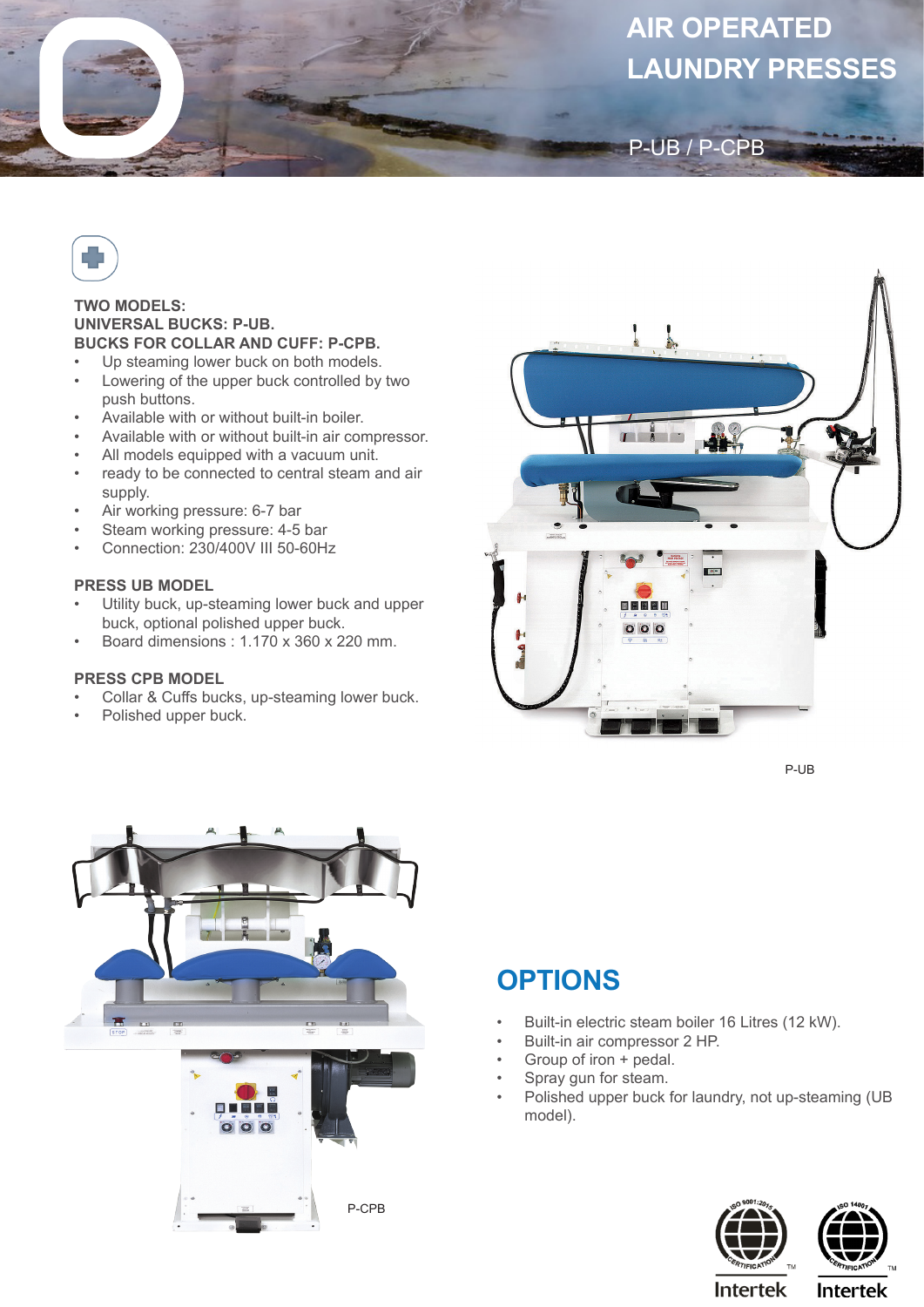# **AIR OPERATED LAUNDRY PRESSES**



#### **TWO MODELS: UNIVERSAL BUCKS: P-UB. BUCKS FOR COLLAR AND CUFF: P-CPB.**

- Up steaming lower buck on both models.
- Lowering of the upper buck controlled by two push buttons.
- Available with or without built-in boiler.
- Available with or without built-in air compressor.
- All models equipped with a vacuum unit.
- ready to be connected to central steam and air supply.
- Air working pressure: 6-7 bar
- Steam working pressure: 4-5 bar
- Connection: 230/400V III 50-60Hz

### **PRESS UB MODEL**

- Utility buck, up-steaming lower buck and upper buck, optional polished upper buck.
- Board dimensions : 1.170 x 360 x 220 mm.

#### **PRESS CPB MODEL**

- Collar & Cuffs bucks, up-steaming lower buck.
- Polished upper buck.



P-UB / P-CPB

P-UB





## **OPTIONS**

- Built-in electric steam boiler 16 Litres (12 kW).
- Built-in air compressor 2 HP.
- Group of iron + pedal.
- Spray gun for steam.
- Polished upper buck for laundry, not up-steaming (UB model).



**Intertek**